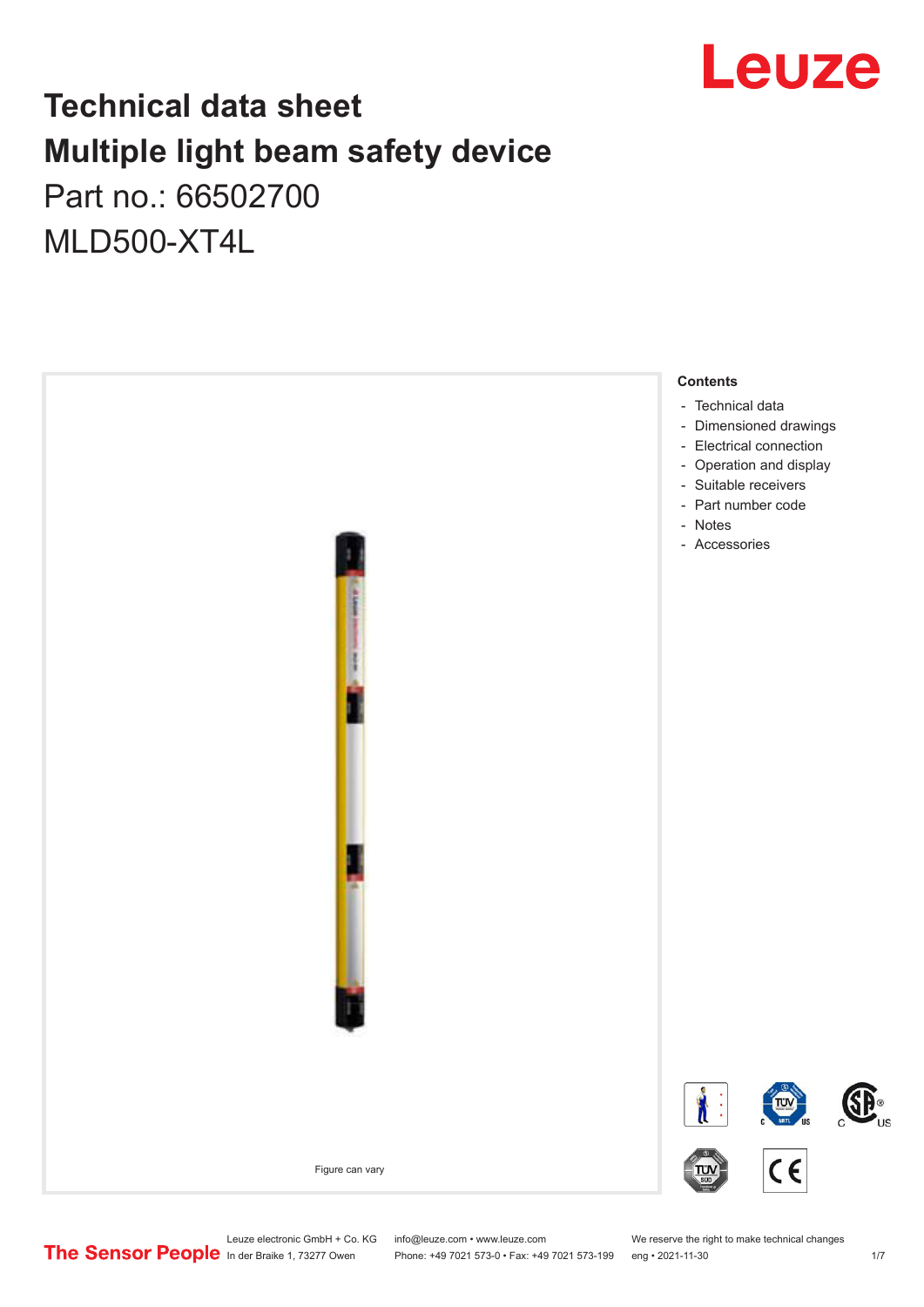

## **Technical data sheet Multiple light beam safety device**  Part no.: 66502700

MLD500-XT4L



Leuze electronic GmbH + Co. KG info@leuze.com • www.leuze.com We reserve the right to make technical changes<br>
The Sensor People in der Braike 1, 73277 Owen Phone: +49 7021 573-0 • Fax: +49 7021 573-199 eng • 2021-11-30

Phone: +49 7021 573-0 • Fax: +49 7021 573-199 eng • 2021-11-30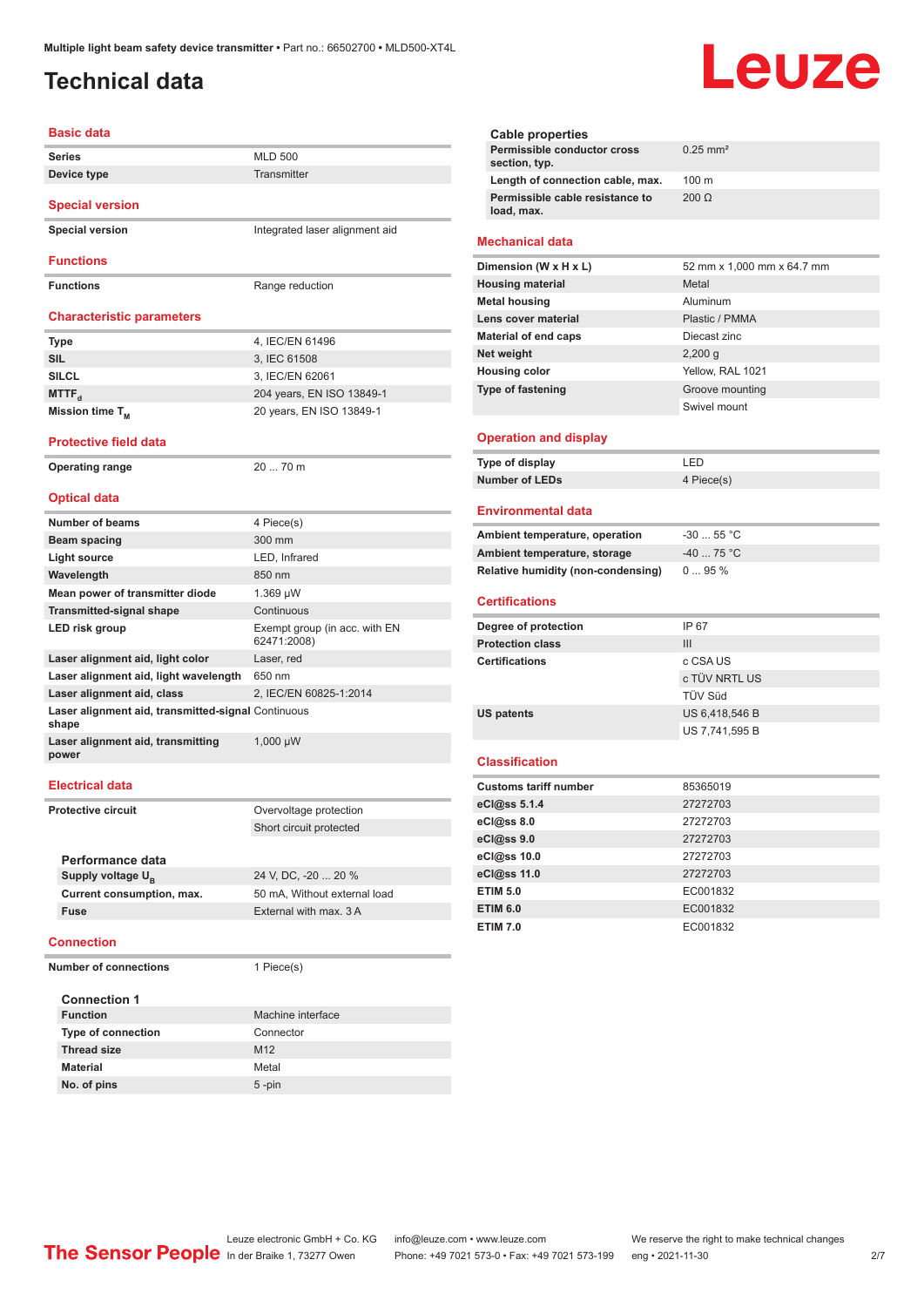## <span id="page-1-0"></span>**Technical data**

#### **Basic data Series** MLD 500 **Device type** Transmitter **Special version Special version Integrated laser alignment aid Functions Functions** Range reduction **Characteristic parameters Type** 4, IEC/EN 61496 **SIL** 3, IEC 61508 **SILCL** 3, IEC/EN 62061 **MTTF**<sub>d</sub> 204 years, EN ISO 13849-1 **Mission time T<sub>M</sub>** 20 years, EN ISO 13849-1 **Protective field data Operating range** 20 ... 70 m **Optical data Number of beams** 4 Piece(s) **Beam spacing 300 mm Light source** LED, Infrared **Wavelength** 850 nm **Mean power of transmitter diode** 1.369 µW **Transmitted-signal shape** Continuous **LED risk group** Exempt group (in acc. with EN 62471:2008) **Laser alignment aid, light color** Laser, red **Laser alignment aid, light wavelength** 650 nm **Laser alignment aid, class** 2, IEC/EN 60825-1:2014 **Laser alignment aid, transmitted-signal**  Continuous **shape Laser alignment aid, transmitting power** 1,000 µW **Electrical data Protective circuit COVER COVER COVER COVER COVER COVER** Short circuit protected **Performance data** Supply voltage  $U_{\text{B}}$ 24 V, DC, -20 ... 20 % **Current consumption, max.** 50 mA, Without external load **Fuse** External with max. 3 A **Connection Number of connections** 1 Piece(s) **Connection 1 Machine interface Type of connection** Connector **Thread size** M12

| <b>Cable properties</b>                      |                                 |
|----------------------------------------------|---------------------------------|
| Permissible conductor cross<br>section, typ. | $0.25$ mm <sup>2</sup>          |
| Length of connection cable, max.             | 100 m                           |
| Permissible cable resistance to              | $200 \Omega$                    |
| load, max.                                   |                                 |
| <b>Mechanical data</b>                       |                                 |
| Dimension (W x H x L)                        | 52 mm x 1,000 mm x 64.7 mm      |
| <b>Housing material</b>                      | Metal                           |
| <b>Metal housing</b>                         | Aluminum                        |
| Lens cover material                          | Plastic / PMMA                  |
| <b>Material of end caps</b>                  | Diecast zinc                    |
| Net weight                                   | $2,200$ q                       |
| <b>Housing color</b>                         | Yellow, RAL 1021                |
| <b>Type of fastening</b>                     | Groove mounting                 |
|                                              | Swivel mount                    |
| <b>Operation and display</b>                 |                                 |
| Type of display                              | LED                             |
| <b>Number of LEDs</b>                        | 4 Piece(s)                      |
| <b>Environmental data</b>                    |                                 |
| Ambient temperature, operation               | $-30$ 55 °C                     |
| Ambient temperature, storage                 | -40  75 °C                      |
| Relative humidity (non-condensing)           | 095%                            |
|                                              |                                 |
| <b>Certifications</b>                        |                                 |
| Degree of protection                         | IP 67                           |
| <b>Protection class</b>                      | III                             |
| <b>Certifications</b>                        | c CSA US                        |
|                                              | c TÜV NRTL US<br><b>TÜV Süd</b> |
|                                              | US 6,418,546 B                  |
| <b>US patents</b>                            | US 7,741,595 B                  |
|                                              |                                 |
| <b>Classification</b>                        |                                 |
| <b>Customs tariff number</b>                 | 85365019                        |
| eCl@ss 5.1.4                                 | 27272703                        |
| eCl@ss 8.0                                   | 27272703                        |
| eCl@ss 9.0                                   | 27272703                        |
| eCl@ss 10.0                                  | 27272703                        |
| eCl@ss 11.0                                  | 27272703                        |
| <b>ETIM 5.0</b>                              | EC001832                        |
| <b>ETIM 6.0</b>                              | EC001832                        |
| <b>ETIM 7.0</b>                              | EC001832                        |
|                                              |                                 |
|                                              |                                 |
|                                              |                                 |
|                                              |                                 |
|                                              |                                 |
|                                              |                                 |
|                                              |                                 |
|                                              |                                 |
|                                              |                                 |
|                                              |                                 |

Leuze

Leuze electronic GmbH + Co. KG info@leuze.com • www.leuze.com We reserve the right to make technical changes<br>
The Sensor People in der Braike 1, 73277 Owen Phone: +49 7021 573-0 • Fax: +49 7021 573-199 eng • 2021-11-30

**Material** Metal **No. of pins** 5 -pin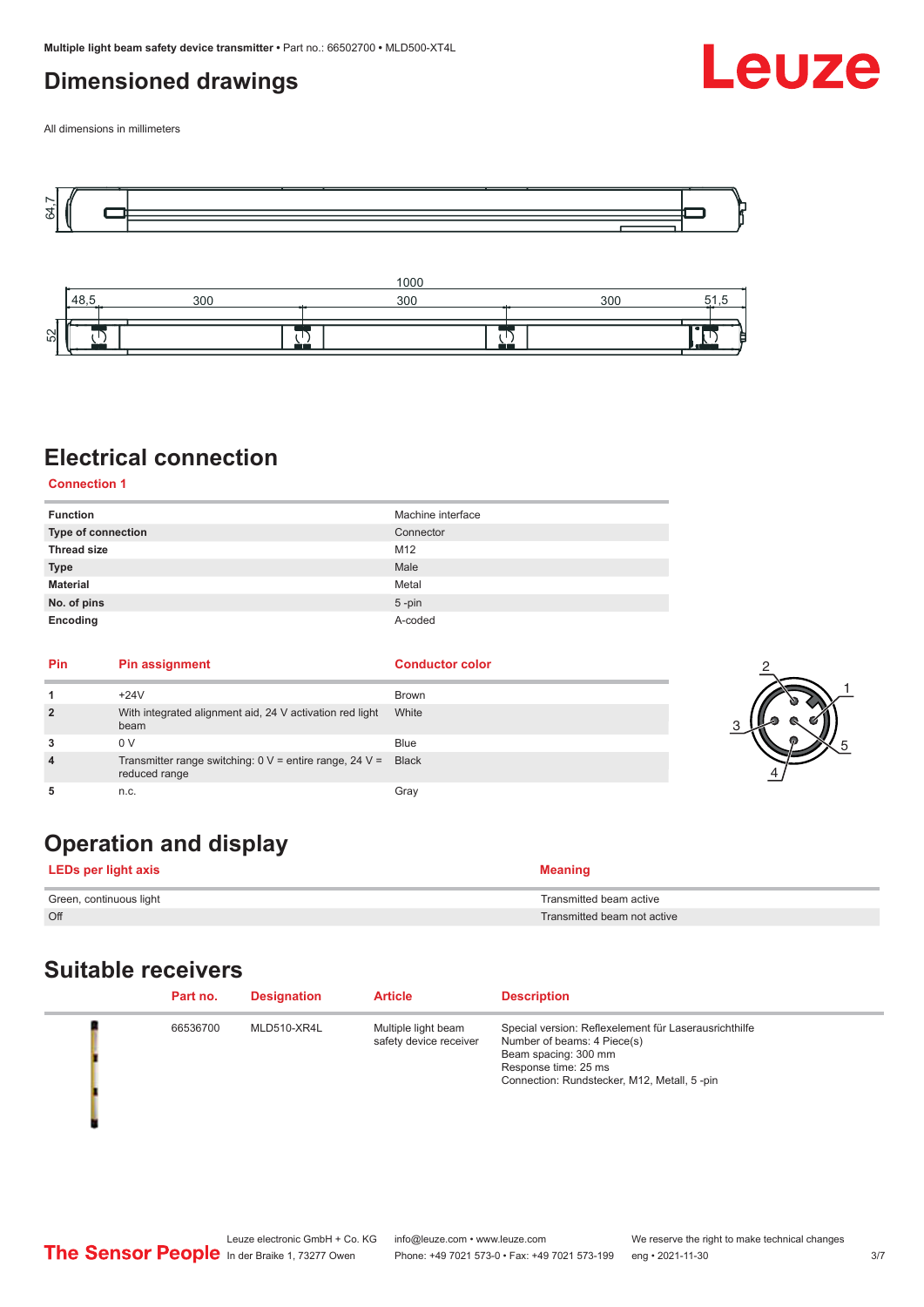## <span id="page-2-0"></span>**Dimensioned drawings**



All dimensions in millimeters





## **Electrical connection**

**Connection 1**

| <b>Function</b>    | Machine interface |
|--------------------|-------------------|
| Type of connection | Connector         |
| <b>Thread size</b> | M12               |
| <b>Type</b>        | Male              |
| <b>Material</b>    | Metal             |
| No. of pins        | $5$ -pin          |
| Encoding           | A-coded           |

| Pin | Pin assignment                                                                     | <b>Conductor color</b> |  |
|-----|------------------------------------------------------------------------------------|------------------------|--|
|     | $+24V$                                                                             | <b>Brown</b>           |  |
| ຳ   | With integrated alignment aid, 24 V activation red light<br>beam                   | White                  |  |
|     | 0 V                                                                                | <b>Blue</b>            |  |
|     | Transmitter range switching: $0 \vee$ = entire range, 24 $\vee$ =<br>reduced range | <b>Black</b>           |  |
|     | n.c.                                                                               | Gray                   |  |

## **Operation and display**

**LEDs per light axis Meaning** 

| Green, continuous light | Transmitted beam active     |
|-------------------------|-----------------------------|
| Off                     | Transmitted beam not active |

## **Suitable receivers**

| Part no. | <b>Designation</b> | <b>Article</b>                                | <b>Description</b>                                                                                                                                                                  |
|----------|--------------------|-----------------------------------------------|-------------------------------------------------------------------------------------------------------------------------------------------------------------------------------------|
| 66536700 | MLD510-XR4L        | Multiple light beam<br>safety device receiver | Special version: Reflexelement für Laserausrichthilfe<br>Number of beams: 4 Piece(s)<br>Beam spacing: 300 mm<br>Response time: 25 ms<br>Connection: Rundstecker, M12, Metall, 5-pin |

1

5

4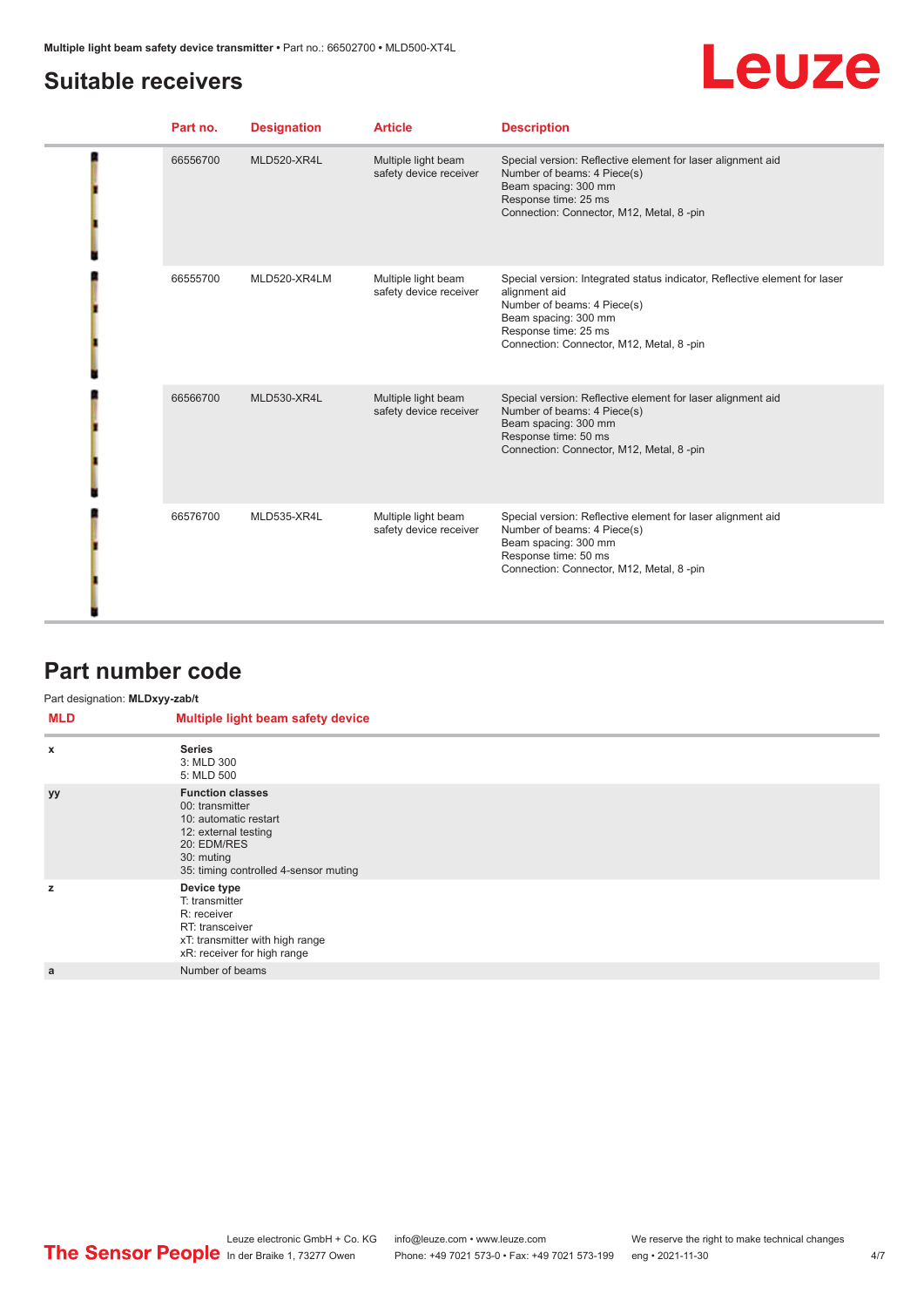## <span id="page-3-0"></span>**Suitable receivers**

# Leuze

| Part no. | <b>Designation</b> | <b>Article</b>                                | <b>Description</b>                                                                                                                                                                                                      |
|----------|--------------------|-----------------------------------------------|-------------------------------------------------------------------------------------------------------------------------------------------------------------------------------------------------------------------------|
| 66556700 | MLD520-XR4L        | Multiple light beam<br>safety device receiver | Special version: Reflective element for laser alignment aid<br>Number of beams: 4 Piece(s)<br>Beam spacing: 300 mm<br>Response time: 25 ms<br>Connection: Connector, M12, Metal, 8-pin                                  |
| 66555700 | MLD520-XR4LM       | Multiple light beam<br>safety device receiver | Special version: Integrated status indicator, Reflective element for laser<br>alignment aid<br>Number of beams: 4 Piece(s)<br>Beam spacing: 300 mm<br>Response time: 25 ms<br>Connection: Connector, M12, Metal, 8 -pin |
| 66566700 | MLD530-XR4L        | Multiple light beam<br>safety device receiver | Special version: Reflective element for laser alignment aid<br>Number of beams: 4 Piece(s)<br>Beam spacing: 300 mm<br>Response time: 50 ms<br>Connection: Connector, M12, Metal, 8-pin                                  |
| 66576700 | MLD535-XR4L        | Multiple light beam<br>safety device receiver | Special version: Reflective element for laser alignment aid<br>Number of beams: 4 Piece(s)<br>Beam spacing: 300 mm<br>Response time: 50 ms<br>Connection: Connector, M12, Metal, 8-pin                                  |

### **Part number code**

#### Part designation: **MLDxyy-zab/t**

| <b>MLD</b> | Multiple light beam safety device                                                                                                                                 |
|------------|-------------------------------------------------------------------------------------------------------------------------------------------------------------------|
| X          | <b>Series</b><br>3: MLD 300<br>5: MLD 500                                                                                                                         |
| <b>yy</b>  | <b>Function classes</b><br>00: transmitter<br>10: automatic restart<br>12: external testing<br>20: EDM/RES<br>30: muting<br>35: timing controlled 4-sensor muting |
| z          | Device type<br>T: transmitter<br>R: receiver<br>RT: transceiver<br>xT: transmitter with high range<br>xR: receiver for high range                                 |
| a          | Number of beams                                                                                                                                                   |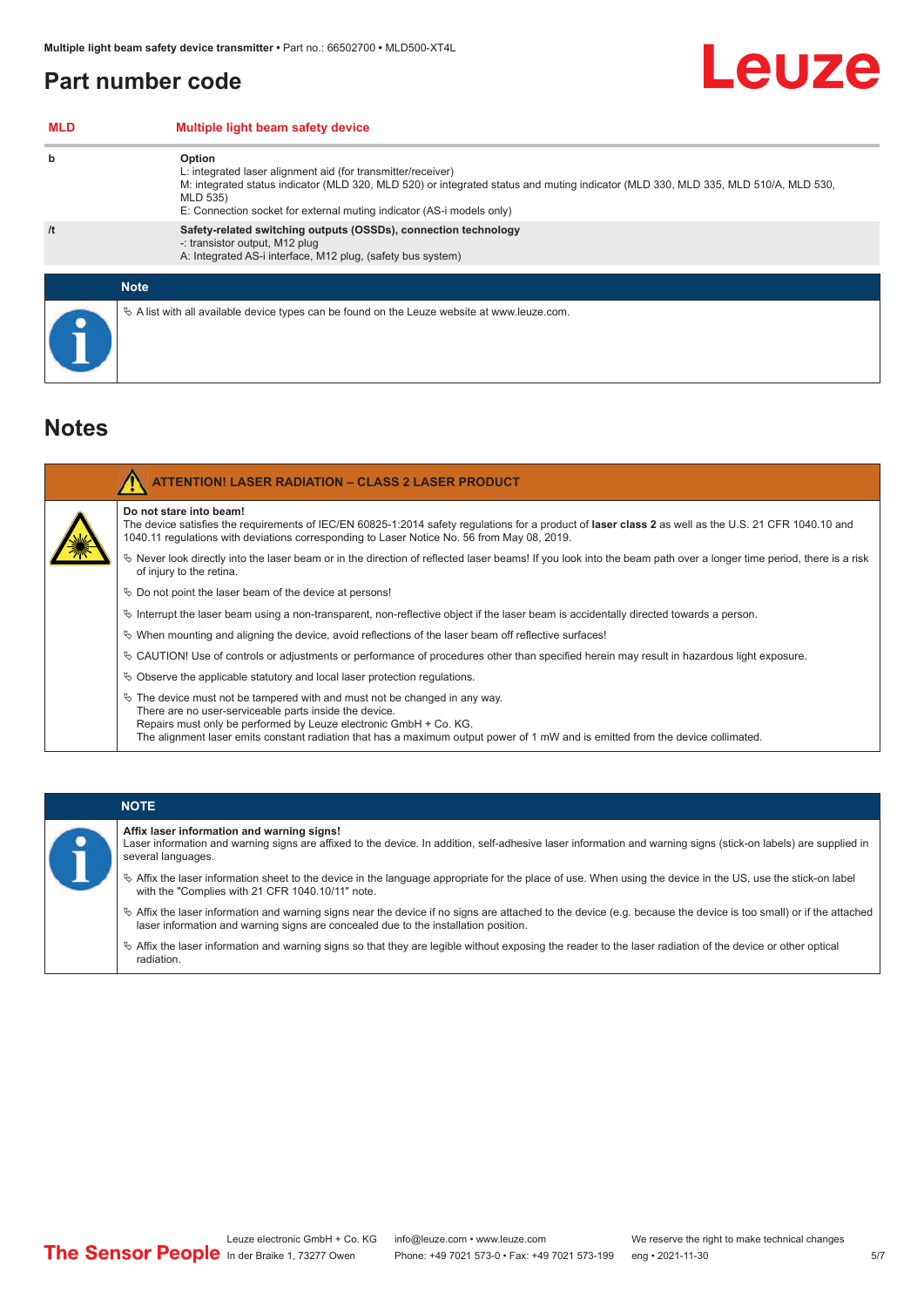## <span id="page-4-0"></span>**Part number code**

| <b>MLD</b> | Multiple light beam safety device                                                                                                                                                                                                                                                                 |
|------------|---------------------------------------------------------------------------------------------------------------------------------------------------------------------------------------------------------------------------------------------------------------------------------------------------|
| b          | Option<br>L: integrated laser alignment aid (for transmitter/receiver)<br>M: integrated status indicator (MLD 320, MLD 520) or integrated status and muting indicator (MLD 330, MLD 335, MLD 510/A, MLD 530,<br>MLD 535)<br>E: Connection socket for external muting indicator (AS-i models only) |
| /t         | Safety-related switching outputs (OSSDs), connection technology<br>-: transistor output, M12 plug<br>A: Integrated AS-i interface, M12 plug, (safety bus system)                                                                                                                                  |
|            | <b>Note</b>                                                                                                                                                                                                                                                                                       |
|            |                                                                                                                                                                                                                                                                                                   |
|            | $\&$ A list with all available device types can be found on the Leuze website at www.leuze.com.                                                                                                                                                                                                   |

### **Notes**

| <b>ATTENTION! LASER RADIATION - CLASS 2 LASER PRODUCT</b>                                                                                                                                                                                                                                                                                       |
|-------------------------------------------------------------------------------------------------------------------------------------------------------------------------------------------------------------------------------------------------------------------------------------------------------------------------------------------------|
| Do not stare into beam!<br>The device satisfies the requirements of IEC/EN 60825-1:2014 safety regulations for a product of laser class 2 as well as the U.S. 21 CFR 1040.10 and<br>1040.11 regulations with deviations corresponding to Laser Notice No. 56 from May 08, 2019.                                                                 |
| $\%$ Never look directly into the laser beam or in the direction of reflected laser beams! If you look into the beam path over a longer time period, there is a risk<br>of injury to the retina.                                                                                                                                                |
| $\%$ Do not point the laser beam of the device at persons!                                                                                                                                                                                                                                                                                      |
| $\%$ Interrupt the laser beam using a non-transparent, non-reflective object if the laser beam is accidentally directed towards a person.                                                                                                                                                                                                       |
| $\%$ When mounting and aligning the device, avoid reflections of the laser beam off reflective surfaces!                                                                                                                                                                                                                                        |
| $\%$ CAUTION! Use of controls or adjustments or performance of procedures other than specified herein may result in hazardous light exposure.                                                                                                                                                                                                   |
| $\%$ Observe the applicable statutory and local laser protection regulations.                                                                                                                                                                                                                                                                   |
| $\&$ The device must not be tampered with and must not be changed in any way.<br>There are no user-serviceable parts inside the device.<br>Repairs must only be performed by Leuze electronic GmbH + Co. KG.<br>The alignment laser emits constant radiation that has a maximum output power of 1 mW and is emitted from the device collimated. |

#### **NOTE**

**Affix laser information and warning signs!**

Laser information and warning signs are affixed to the device. In addition, self-adhesive laser information and warning signs (stick-on labels) are supplied in several languages.

- ª Affix the laser information sheet to the device in the language appropriate for the place of use. When using the device in the US, use the stick-on label with the "Complies with 21 CFR 1040.10/11" note.
- ª Affix the laser information and warning signs near the device if no signs are attached to the device (e.g. because the device is too small) or if the attached laser information and warning signs are concealed due to the installation position.
- $\%$  Affix the laser information and warning signs so that they are legible without exposing the reader to the laser radiation of the device or other optical radiation.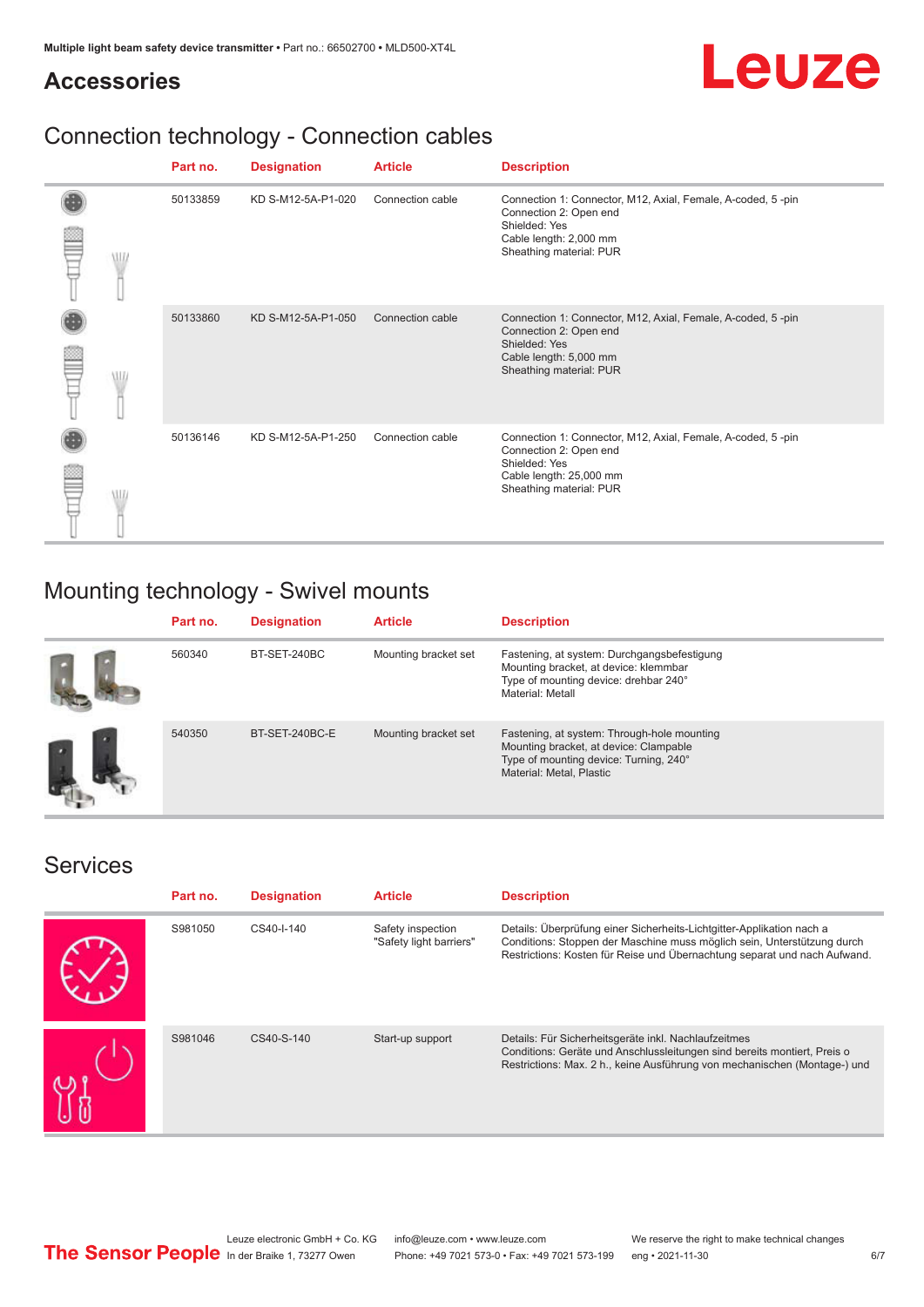# Leuze

## **Accessories**

## Connection technology - Connection cables

|            | Part no. | <b>Designation</b> | <b>Article</b>   | <b>Description</b>                                                                                                                                           |
|------------|----------|--------------------|------------------|--------------------------------------------------------------------------------------------------------------------------------------------------------------|
| W          | 50133859 | KD S-M12-5A-P1-020 | Connection cable | Connection 1: Connector, M12, Axial, Female, A-coded, 5-pin<br>Connection 2: Open end<br>Shielded: Yes<br>Cable length: 2,000 mm<br>Sheathing material: PUR  |
|            | 50133860 | KD S-M12-5A-P1-050 | Connection cable | Connection 1: Connector, M12, Axial, Female, A-coded, 5-pin<br>Connection 2: Open end<br>Shielded: Yes<br>Cable length: 5,000 mm<br>Sheathing material: PUR  |
| <b>MIL</b> | 50136146 | KD S-M12-5A-P1-250 | Connection cable | Connection 1: Connector, M12, Axial, Female, A-coded, 5-pin<br>Connection 2: Open end<br>Shielded: Yes<br>Cable length: 25,000 mm<br>Sheathing material: PUR |

## Mounting technology - Swivel mounts

| Part no. | <b>Designation</b> | <b>Article</b>       | <b>Description</b>                                                                                                                                          |
|----------|--------------------|----------------------|-------------------------------------------------------------------------------------------------------------------------------------------------------------|
| 560340   | BT-SET-240BC       | Mounting bracket set | Fastening, at system: Durchgangsbefestigung<br>Mounting bracket, at device: klemmbar<br>Type of mounting device: drehbar 240°<br>Material: Metall           |
| 540350   | BT-SET-240BC-E     | Mounting bracket set | Fastening, at system: Through-hole mounting<br>Mounting bracket, at device: Clampable<br>Type of mounting device: Turning, 240°<br>Material: Metal, Plastic |

## Services

| Part no. | <b>Designation</b> | <b>Article</b>                               | <b>Description</b>                                                                                                                                                                                                            |
|----------|--------------------|----------------------------------------------|-------------------------------------------------------------------------------------------------------------------------------------------------------------------------------------------------------------------------------|
| S981050  | CS40-I-140         | Safety inspection<br>"Safety light barriers" | Details: Überprüfung einer Sicherheits-Lichtgitter-Applikation nach a<br>Conditions: Stoppen der Maschine muss möglich sein, Unterstützung durch<br>Restrictions: Kosten für Reise und Übernachtung separat und nach Aufwand. |
| S981046  | CS40-S-140         | Start-up support                             | Details: Für Sicherheitsgeräte inkl. Nachlaufzeitmes<br>Conditions: Geräte und Anschlussleitungen sind bereits montiert, Preis o<br>Restrictions: Max. 2 h., keine Ausführung von mechanischen (Montage-) und                 |